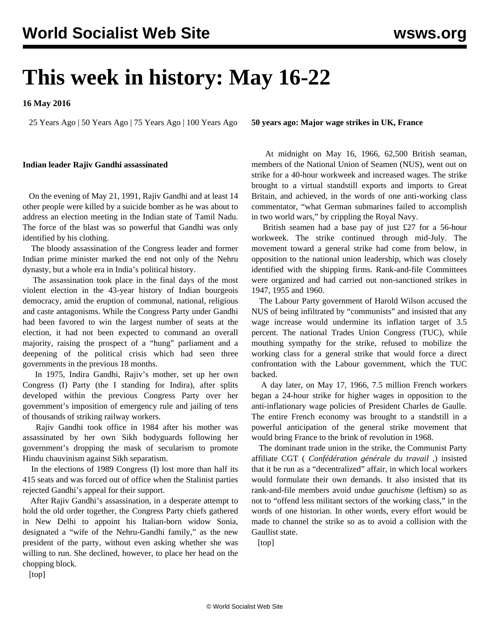# **This week in history: May 16-22**

**16 May 2016**

25 Years Ago | 50 Years Ago | 75 Years Ago | 100 Years Ago

#### **Indian leader Rajiv Gandhi assassinated**

 On the evening of May 21, 1991, Rajiv Gandhi and at least 14 other people were killed by a suicide bomber as he was about to address an election meeting in the Indian state of Tamil Nadu. The force of the blast was so powerful that Gandhi was only identified by his clothing.

 The bloody assassination of the Congress leader and former Indian prime minister marked the end not only of the Nehru dynasty, but a whole era in India's political history.

 The assassination took place in the final days of the most violent election in the 43-year history of Indian bourgeois democracy, amid the eruption of communal, national, religious and caste antagonisms. While the Congress Party under Gandhi had been favored to win the largest number of seats at the election, it had not been expected to command an overall majority, raising the prospect of a "hung" parliament and a deepening of the political crisis which had seen three governments in the previous 18 months.

 In 1975, Indira Gandhi, Rajiv's mother, set up her own Congress (I) Party (the I standing for Indira), after splits developed within the previous Congress Party over her government's imposition of emergency rule and jailing of tens of thousands of striking railway workers.

 Rajiv Gandhi took office in 1984 after his mother was assassinated by her own Sikh bodyguards following her government's dropping the mask of secularism to promote Hindu chauvinism against Sikh separatism.

 In the elections of 1989 Congress (I) lost more than half its 415 seats and was forced out of office when the Stalinist parties rejected Gandhi's appeal for their support.

 After Rajiv Gandhi's assassination, in a desperate attempt to hold the old order together, the Congress Party chiefs gathered in New Delhi to appoint his Italian-born widow Sonia, designated a "wife of the Nehru-Gandhi family," as the new president of the party, without even asking whether she was willing to run. She declined, however, to place her head on the chopping block.

**50 years ago: Major wage strikes in UK, France**

 At midnight on May 16, 1966, 62,500 British seaman, members of the National Union of Seamen (NUS), went out on strike for a 40-hour workweek and increased wages. The strike brought to a virtual standstill exports and imports to Great Britain, and achieved, in the words of one anti-working class commentator, "what German submarines failed to accomplish in two world wars," by crippling the Royal Navy.

 British seamen had a base pay of just £27 for a 56-hour workweek. The strike continued through mid-July. The movement toward a general strike had come from below, in opposition to the national union leadership, which was closely identified with the shipping firms. Rank-and-file Committees were organized and had carried out non-sanctioned strikes in 1947, 1955 and 1960.

 The Labour Party government of Harold Wilson accused the NUS of being infiltrated by "communists" and insisted that any wage increase would undermine its inflation target of 3.5 percent. The national Trades Union Congress (TUC), while mouthing sympathy for the strike, refused to mobilize the working class for a general strike that would force a direct confrontation with the Labour government, which the TUC backed.

 A day later, on May 17, 1966, 7.5 million French workers began a 24-hour strike for higher wages in opposition to the anti-inflationary wage policies of President Charles de Gaulle. The entire French economy was brought to a standstill in a powerful anticipation of the general strike movement that would bring France to the brink of revolution in 1968.

 The dominant trade union in the strike, the Communist Party affiliate CGT ( *Confédération générale du travail* ,) insisted that it be run as a "decentralized" affair, in which local workers would formulate their own demands. It also insisted that its rank-and-file members avoid undue *gauchisme* (leftism) so as not to "offend less militant sectors of the working class," in the words of one historian. In other words, every effort would be made to channel the strike so as to avoid a collision with the Gaullist state.

[top]

[top]